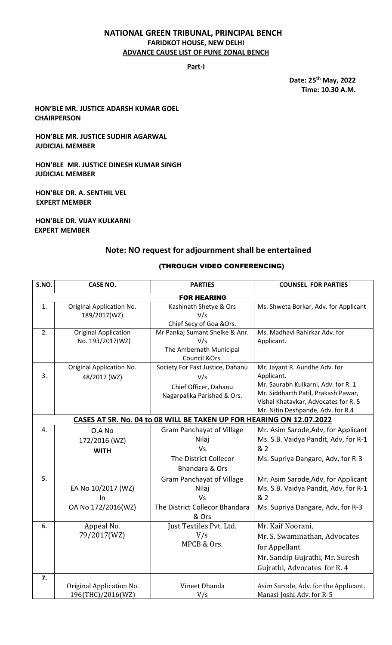### **NATIONAL GREEN TRIBUNAL, PRINCIPAL BENCH FARIDKOT HOUSE, NEW DELHI ADVANCE CAUSE LIST OF PUNE ZONAL BENCH**

### **Part-I**

**Date: 25th May, 2022 Time: 10.30 A.M.**

### **HON'BLE MR. JUSTICE ADARSH KUMAR GOEL CHAIRPERSON**

### **HON'BLE MR. JUSTICE SUDHIR AGARWAL JUDICIAL MEMBER**

**HON'BLE MR. JUSTICE DINESH KUMAR SINGH JUDICIAL MEMBER**

**HON'BLE DR. A. SENTHIL VEL EXPERT MEMBER**

**HON'BLE DR. VIJAY KULKARNI EXPERT MEMBER**

## **Note: NO request for adjournment shall be entertained**

#### (THROUGH VIDEO CONFERENCING)

| S.NO.                                                                | <b>CASE NO.</b>                                              | <b>PARTIES</b>                                                                                                        | <b>COUNSEL FOR PARTIES</b>                                                                                                                                                                             |
|----------------------------------------------------------------------|--------------------------------------------------------------|-----------------------------------------------------------------------------------------------------------------------|--------------------------------------------------------------------------------------------------------------------------------------------------------------------------------------------------------|
| <b>FOR HEARING</b>                                                   |                                                              |                                                                                                                       |                                                                                                                                                                                                        |
| 1.                                                                   | Original Application No.<br>189/2017(WZ)                     | Kashinath Shetye & Ors<br>V/s<br>Chief Secy of Goa & Ors.                                                             | Ms. Shweta Borkar, Adv. for Applicant                                                                                                                                                                  |
| 2.                                                                   | <b>Original Application</b><br>No. 193/2017(WZ)              | Mr Pankaj Sumant Shelke & Anr.<br>V/s<br>The Ambernath Municipal<br>Council &Ors.                                     | Ms. Madhavi Rahirkar Adv. for<br>Applicant.                                                                                                                                                            |
| 3.                                                                   | Original Application No.<br>48/2017 (WZ)                     | Society For Fast Justice, Dahanu<br>V/s<br>Chief Officer, Dahanu<br>Nagarpalika Parishad & Ors.                       | Mr. Jayant R. Aundhe Adv. for<br>Applicant.<br>Mr. Saurabh Kulkarni, Adv. for R. 1<br>Mr. Siddharth Patil, Prakash Pawar,<br>Vishal Khatavkar, Advocates for R. 5<br>Mr. Nitin Deshpande, Adv. for R.4 |
| CASES AT SR. No. 04 to 08 WILL BE TAKEN UP FOR HEARING ON 12.07.2022 |                                                              |                                                                                                                       |                                                                                                                                                                                                        |
| 4.                                                                   | O.A No<br>172/2016 (WZ)<br><b>WITH</b>                       | <b>Gram Panchayat of Village</b><br>Nilaj<br><b>Vs</b><br>The District Collecor<br>Bhandara & Ors                     | Mr. Asim Sarode, Adv, for Applicant<br>Ms. S.B. Vaidya Pandit, Adv, for R-1<br>& 2<br>Ms. Supriya Dangare, Adv, for R-3                                                                                |
| 5.<br>6.                                                             | EA No 10/2017 (WZ)<br>In<br>OA No 172/2016(WZ)<br>Appeal No. | <b>Gram Panchayat of Village</b><br>Nilaj<br>Vs<br>The District Collecor Bhandara<br>& Ors<br>Just Textiles Pvt. Ltd. | Mr. Asim Sarode, Adv, for Applicant<br>Ms. S.B. Vaidya Pandit, Adv, for R-1<br>& 2<br>Ms. Supriya Dangare, Adv, for R-3<br>Mr. Kaif Noorani,                                                           |
|                                                                      | 79/2017(WZ)                                                  | V/s<br>MPCB & Ors.                                                                                                    | Mr. S. Swaminathan, Advocates<br>for Appellant<br>Mr. Sandip Gujrathi, Mr. Suresh<br>Gujrathi, Advocates for R. 4                                                                                      |
| 7.                                                                   | Original Application No.<br>196(THC)/2016(WZ)                | Vineet Dhanda<br>V/s                                                                                                  | Asim Sarode, Adv. for the Applicant.<br>Manasi Joshi Adv. for R-5                                                                                                                                      |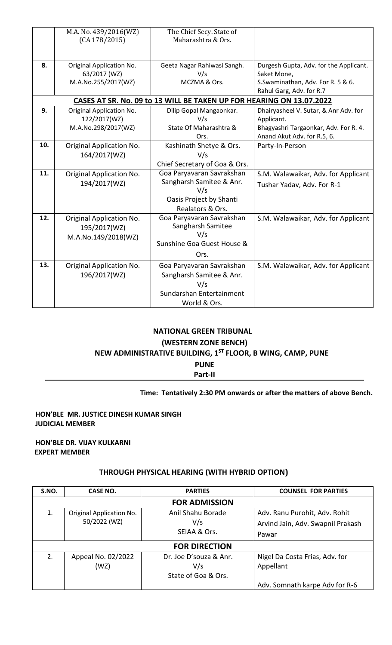|     | M.A. No. 439/2016(WZ)<br>(CA 178/2015)                                         | The Chief Secy. State of<br>Maharashtra & Ors. |                                        |  |
|-----|--------------------------------------------------------------------------------|------------------------------------------------|----------------------------------------|--|
|     |                                                                                |                                                |                                        |  |
| 8.  |                                                                                |                                                | Durgesh Gupta, Adv. for the Applicant. |  |
|     | Original Application No.<br>Geeta Nagar Rahiwasi Sangh.<br>63/2017 (WZ)<br>V/s |                                                | Saket Mone,                            |  |
|     | M.A.No.255/2017(WZ)                                                            | MCZMA & Ors.                                   | S.Swaminathan, Adv. For R. 5 & 6.      |  |
|     |                                                                                |                                                | Rahul Garg, Adv. for R.7               |  |
|     | CASES AT SR. No. 09 to 13 WILL BE TAKEN UP FOR HEARING ON 13.07.2022           |                                                |                                        |  |
| 9.  | Original Application No.                                                       | Dilip Gopal Mangaonkar.                        | Dhairyasheel V. Sutar, & Anr Adv. for  |  |
|     | 122/2017(WZ)                                                                   | V/s                                            | Applicant.                             |  |
|     | M.A.No.298/2017(WZ)                                                            | State Of Maharashtra &                         | Bhagyashri Targaonkar, Adv. For R. 4.  |  |
|     |                                                                                | Ors.                                           | Anand Akut Adv. for R.5, 6.            |  |
| 10. | Original Application No.                                                       | Kashinath Shetye & Ors.                        | Party-In-Person                        |  |
|     | 164/2017(WZ)                                                                   | V/s                                            |                                        |  |
|     |                                                                                | Chief Secretary of Goa & Ors.                  |                                        |  |
| 11. | Original Application No.                                                       | Goa Paryavaran Savrakshan                      | S.M. Walawaikar, Adv. for Applicant    |  |
|     | 194/2017(WZ)                                                                   | Sangharsh Samitee & Anr.<br>V/s                | Tushar Yadav, Adv. For R-1             |  |
|     |                                                                                | Oasis Project by Shanti                        |                                        |  |
|     |                                                                                | Realators & Ors.                               |                                        |  |
| 12. | Original Application No.                                                       | Goa Paryavaran Savrakshan                      | S.M. Walawaikar, Adv. for Applicant    |  |
|     | 195/2017(WZ)                                                                   | Sangharsh Samitee                              |                                        |  |
|     | M.A.No.149/2018(WZ)                                                            | V/s                                            |                                        |  |
|     |                                                                                | Sunshine Goa Guest House &                     |                                        |  |
|     |                                                                                | Ors.                                           |                                        |  |
| 13. | Original Application No.                                                       | Goa Paryavaran Savrakshan                      | S.M. Walawaikar, Adv. for Applicant    |  |
|     | 196/2017(WZ)                                                                   | Sangharsh Samitee & Anr.                       |                                        |  |
|     |                                                                                | V/s                                            |                                        |  |
|     |                                                                                | Sundarshan Entertainment                       |                                        |  |
|     |                                                                                | World & Ors.                                   |                                        |  |

# **NATIONAL GREEN TRIBUNAL**

## **(WESTERN ZONE BENCH)**

# **NEW ADMINISTRATIVE BUILDING, 1ST FLOOR, B WING, CAMP, PUNE**

**PUNE**

**Part-II**

## **Time: Tentatively 2:30 PM onwards or after the matters of above Bench.**

## **HON'BLE MR. JUSTICE DINESH KUMAR SINGH JUDICIAL MEMBER**

**HON'BLE DR. VIJAY KULKARNI EXPERT MEMBER**

## **THROUGH PHYSICAL HEARING (WITH HYBRID OPTION)**

| S.NO.                | <b>CASE NO.</b>                          | <b>PARTIES</b>                                       | <b>COUNSEL FOR PARTIES</b>                                                  |
|----------------------|------------------------------------------|------------------------------------------------------|-----------------------------------------------------------------------------|
| <b>FOR ADMISSION</b> |                                          |                                                      |                                                                             |
| 1.                   | Original Application No.<br>50/2022 (WZ) | Anil Shahu Borade<br>V/s<br>SEIAA & Ors.             | Adv. Ranu Purohit, Adv. Rohit<br>Arvind Jain, Adv. Swapnil Prakash<br>Pawar |
| <b>FOR DIRECTION</b> |                                          |                                                      |                                                                             |
| 2.                   | Appeal No. 02/2022<br>(WZ)               | Dr. Joe D'souza & Anr.<br>V/s<br>State of Goa & Ors. | Nigel Da Costa Frias, Adv. for<br>Appellant                                 |
|                      |                                          |                                                      | Adv. Somnath karpe Adv for R-6                                              |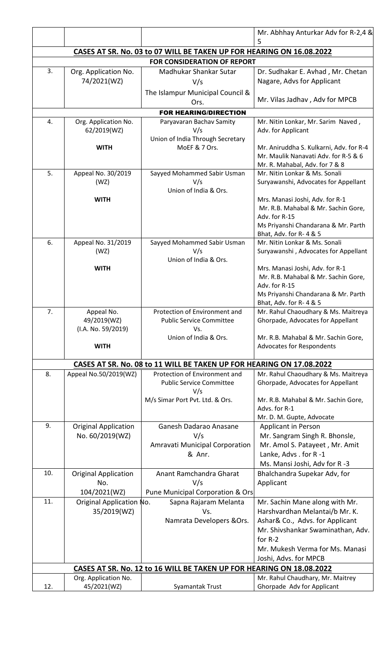|                                                                      |                                                |                                                                      | Mr. Abhhay Anturkar Adv for R-2,4 &<br>5                         |
|----------------------------------------------------------------------|------------------------------------------------|----------------------------------------------------------------------|------------------------------------------------------------------|
|                                                                      |                                                | CASES AT SR. No. 03 to 07 WILL BE TAKEN UP FOR HEARING ON 16.08.2022 |                                                                  |
|                                                                      |                                                | <b>FOR CONSIDERATION OF REPORT</b>                                   |                                                                  |
| 3.                                                                   | Org. Application No.                           | Madhukar Shankar Sutar                                               | Dr. Sudhakar E. Avhad, Mr. Chetan                                |
|                                                                      | 74/2021(WZ)                                    | V/s                                                                  | Nagare, Advs for Applicant                                       |
|                                                                      |                                                | The Islampur Municipal Council &                                     |                                                                  |
|                                                                      |                                                | Ors.                                                                 | Mr. Vilas Jadhav, Adv for MPCB                                   |
|                                                                      |                                                | <b>FOR HEARING/DIRECTION</b>                                         |                                                                  |
| 4.                                                                   | Org. Application No.<br>62/2019(WZ)            | Paryavaran Bachav Samity<br>V/s                                      | Mr. Nitin Lonkar, Mr. Sarim Naved,<br>Adv. for Applicant         |
|                                                                      |                                                | Union of India Through Secretary                                     |                                                                  |
|                                                                      | <b>WITH</b>                                    | MoEF & 7 Ors.                                                        | Mr. Aniruddha S. Kulkarni, Adv. for R-4                          |
|                                                                      |                                                |                                                                      | Mr. Maulik Nanavati Adv. for R-5 & 6                             |
| 5.                                                                   | Appeal No. 30/2019                             | Sayyed Mohammed Sabir Usman                                          | Mr. R. Mahabal, Adv. for 7 & 8<br>Mr. Nitin Lonkar & Ms. Sonali  |
|                                                                      | (WZ)                                           | V/s                                                                  | Suryawanshi, Advocates for Appellant                             |
|                                                                      |                                                | Union of India & Ors.                                                |                                                                  |
|                                                                      | <b>WITH</b>                                    |                                                                      | Mrs. Manasi Joshi, Adv. for R-1                                  |
|                                                                      |                                                |                                                                      | Mr. R.B. Mahabal & Mr. Sachin Gore,<br>Adv. for R-15             |
|                                                                      |                                                |                                                                      | Ms Priyanshi Chandarana & Mr. Parth                              |
|                                                                      |                                                |                                                                      | Bhat, Adv. for R-4 & 5                                           |
| 6.                                                                   | Appeal No. 31/2019                             | Sayyed Mohammed Sabir Usman                                          | Mr. Nitin Lonkar & Ms. Sonali                                    |
|                                                                      | (WZ)                                           | V/s<br>Union of India & Ors.                                         | Suryawanshi, Advocates for Appellant                             |
|                                                                      | <b>WITH</b>                                    |                                                                      | Mrs. Manasi Joshi, Adv. for R-1                                  |
|                                                                      |                                                |                                                                      | Mr. R.B. Mahabal & Mr. Sachin Gore,                              |
|                                                                      |                                                |                                                                      | Adv. for R-15                                                    |
|                                                                      |                                                |                                                                      | Ms Priyanshi Chandarana & Mr. Parth<br>Bhat, Adv. for R-4 & 5    |
| 7.                                                                   | Appeal No.                                     | Protection of Environment and                                        | Mr. Rahul Chaoudhary & Ms. Maitreya                              |
|                                                                      | 49/2019(WZ)                                    | <b>Public Service Committee</b>                                      | Ghorpade, Advocates for Appellant                                |
|                                                                      | (I.A. No. 59/2019)                             | Vs.<br>Union of India & Ors.                                         | Mr. R.B. Mahabal & Mr. Sachin Gore,                              |
|                                                                      | <b>WITH</b>                                    |                                                                      | Advocates for Respondents                                        |
|                                                                      |                                                |                                                                      |                                                                  |
|                                                                      |                                                | CASES AT SR. No. 08 to 11 WILL BE TAKEN UP FOR HEARING ON 17.08.2022 |                                                                  |
| 8.                                                                   | Appeal No.50/2019(WZ)                          | Protection of Environment and<br><b>Public Service Committee</b>     | Mr. Rahul Chaoudhary & Ms. Maitreya                              |
|                                                                      |                                                | V/s                                                                  | Ghorpade, Advocates for Appellant                                |
|                                                                      |                                                | M/s Simar Port Pvt. Ltd. & Ors.                                      | Mr. R.B. Mahabal & Mr. Sachin Gore,                              |
|                                                                      |                                                |                                                                      | Advs. for R-1                                                    |
| 9.                                                                   |                                                |                                                                      | Mr. D. M. Gupte, Advocate                                        |
|                                                                      | <b>Original Application</b><br>No. 60/2019(WZ) | Ganesh Dadarao Anasane<br>V/s                                        | Applicant in Person<br>Mr. Sangram Singh R. Bhonsle,             |
|                                                                      |                                                | Amravati Municipal Corporation                                       | Mr. Amol S. Patayeet, Mr. Amit                                   |
|                                                                      |                                                | & Anr.                                                               | Lanke, Advs. for R-1                                             |
|                                                                      |                                                |                                                                      | Ms. Mansi Joshi, Adv for R-3                                     |
| 10.                                                                  | <b>Original Application</b>                    | Anant Ramchandra Gharat                                              | Bhalchandra Supekar Adv, for                                     |
|                                                                      | No.                                            | V/s                                                                  | Applicant                                                        |
| 11.                                                                  | 104/2021(WZ)                                   | Pune Municipal Corporation & Ors                                     |                                                                  |
|                                                                      | Original Application No.<br>35/2019(WZ)        | Sapna Rajaram Melanta<br>Vs.                                         | Mr. Sachin Mane along with Mr.<br>Harshvardhan Melantai/b Mr. K. |
|                                                                      |                                                | Namrata Developers & Ors.                                            | Ashar& Co., Advs. for Applicant                                  |
|                                                                      |                                                |                                                                      | Mr. Shivshankar Swaminathan, Adv.                                |
|                                                                      |                                                |                                                                      | for R-2                                                          |
|                                                                      |                                                |                                                                      | Mr. Mukesh Verma for Ms. Manasi                                  |
|                                                                      |                                                |                                                                      | Joshi, Advs. for MPCB                                            |
| CASES AT SR. No. 12 to 16 WILL BE TAKEN UP FOR HEARING ON 18.08.2022 |                                                |                                                                      |                                                                  |
| 12.                                                                  | Org. Application No.<br>45/2021(WZ)            | Syamantak Trust                                                      | Mr. Rahul Chaudhary, Mr. Maitrey<br>Ghorpade Adv for Applicant   |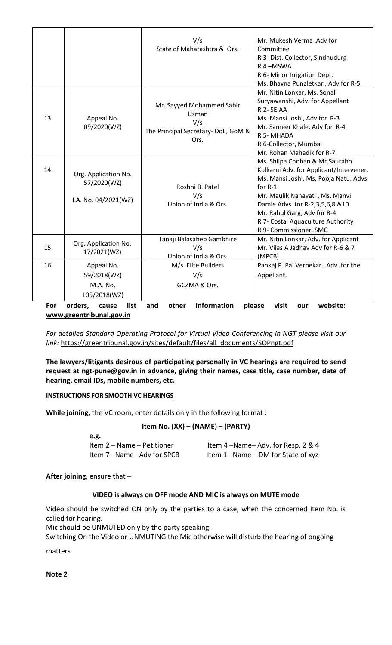|                          |                                                             | V/s<br>State of Maharashtra & Ors.                                                       | Mr. Mukesh Verma , Adv for<br>Committee<br>R.3- Dist. Collector, Sindhudurg<br>R.4-MSWA<br>R.6- Minor Irrigation Dept.<br>Ms. Bhavna Punaletkar, Adv for R-5                                                                                                                                      |
|--------------------------|-------------------------------------------------------------|------------------------------------------------------------------------------------------|---------------------------------------------------------------------------------------------------------------------------------------------------------------------------------------------------------------------------------------------------------------------------------------------------|
| 13.                      | Appeal No.<br>09/2020(WZ)                                   | Mr. Sayyed Mohammed Sabir<br>Usman<br>V/s<br>The Principal Secretary- DoE, GoM &<br>Ors. | Mr. Nitin Lonkar, Ms. Sonali<br>Suryawanshi, Adv. for Appellant<br>R.2- SEIAA<br>Ms. Mansi Joshi, Adv for R-3<br>Mr. Sameer Khale, Adv for R-4<br>R.5-MHADA<br>R.6-Collector, Mumbai<br>Mr. Rohan Mahadik for R-7                                                                                 |
| 14.                      | Org. Application No.<br>57/2020(WZ)<br>I.A. No. 04/2021(WZ) | Roshni B. Patel<br>V/s<br>Union of India & Ors.                                          | Ms. Shilpa Chohan & Mr. Saurabh<br>Kulkarni Adv. for Applicant/Intervener.<br>Ms. Mansi Joshi, Ms. Pooja Natu, Advs<br>for R-1<br>Mr. Maulik Nanavati, Ms. Manvi<br>Damle Advs. for R-2,3,5,6,8 &10<br>Mr. Rahul Garg, Adv for R-4<br>R.7- Costal Aquaculture Authority<br>R.9- Commissioner, SMC |
| 15.                      | Org. Application No.<br>17/2021(WZ)                         | Tanaji Balasaheb Gambhire<br>V/s<br>Union of India & Ors.                                | Mr. Nitin Lonkar, Adv. for Applicant<br>Mr. Vilas A Jadhav Adv for R-6 & 7<br>(MPCB)                                                                                                                                                                                                              |
| 16.                      | Appeal No.                                                  | M/s. Elite Builders                                                                      | Pankaj P. Pai Vernekar. Adv. for the                                                                                                                                                                                                                                                              |
|                          | 59/2018(WZ)                                                 | V/s                                                                                      | Appellant.                                                                                                                                                                                                                                                                                        |
|                          | M.A. No.                                                    | GCZMA & Ors.                                                                             |                                                                                                                                                                                                                                                                                                   |
|                          | 105/2018(WZ)                                                |                                                                                          |                                                                                                                                                                                                                                                                                                   |
| For                      | list<br>orders,<br>cause                                    | information<br>other<br>and                                                              | website:<br>please<br>visit<br>our                                                                                                                                                                                                                                                                |
| www.greentribunal.gov.in |                                                             |                                                                                          |                                                                                                                                                                                                                                                                                                   |

*For detailed Standard Operating Protocol for Virtual Video Conferencing in NGT please visit our* 

*link:* [https://greentribunal.gov.in/sites/default/files/all\\_documents/SOPngt.pdf](https://greentribunal.gov.in/sites/default/files/all_documents/SOPngt.pdf)

**The lawyers/litigants desirous of participating personally in VC hearings are required to send request at [ngt-pune@gov.in](mailto:ngt-pune@gov.in) in advance, giving their names, case title, case number, date of hearing, email IDs, mobile numbers, etc.**

### **INSTRUCTIONS FOR SMOOTH VC HEARINGS**

**While joining,** the VC room, enter details only in the following format :

## **Item No. (XX) – (NAME) – (PARTY)**

| e.g.                       |                                   |
|----------------------------|-----------------------------------|
| Item 2 – Name – Petitioner | Item 4-Name-Adv. for Resp. 2 & 4  |
| Item 7-Name-Adv for SPCB   | Item 1-Name - DM for State of xyz |

**After joining**, ensure that –

## **VIDEO is always on OFF mode AND MIC is always on MUTE mode**

Video should be switched ON only by the parties to a case, when the concerned Item No. is called for hearing.

Mic should be UNMUTED only by the party speaking.

Switching On the Video or UNMUTING the Mic otherwise will disturb the hearing of ongoing

matters.

**Note 2**